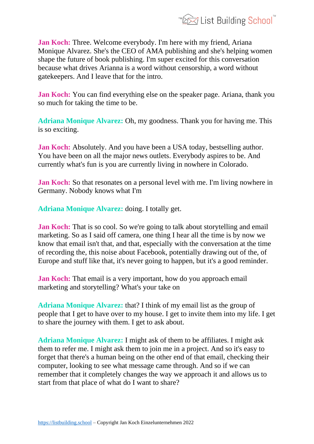

**Jan Koch:** Three. Welcome everybody. I'm here with my friend, Ariana Monique Alvarez. She's the CEO of AMA publishing and she's helping women shape the future of book publishing. I'm super excited for this conversation because what drives Arianna is a word without censorship, a word without gatekeepers. And I leave that for the intro.

**Jan Koch:** You can find everything else on the speaker page. Ariana, thank you so much for taking the time to be.

**Adriana Monique Alvarez:** Oh, my goodness. Thank you for having me. This is so exciting.

**Jan Koch:** Absolutely. And you have been a USA today, bestselling author. You have been on all the major news outlets. Everybody aspires to be. And currently what's fun is you are currently living in nowhere in Colorado.

**Jan Koch:** So that resonates on a personal level with me. I'm living nowhere in Germany. Nobody knows what I'm

**Adriana Monique Alvarez:** doing. I totally get.

**Jan Koch:** That is so cool. So we're going to talk about storytelling and email marketing. So as I said off camera, one thing I hear all the time is by now we know that email isn't that, and that, especially with the conversation at the time of recording the, this noise about Facebook, potentially drawing out of the, of Europe and stuff like that, it's never going to happen, but it's a good reminder.

**Jan Koch:** That email is a very important, how do you approach email marketing and storytelling? What's your take on

**Adriana Monique Alvarez:** that? I think of my email list as the group of people that I get to have over to my house. I get to invite them into my life. I get to share the journey with them. I get to ask about.

**Adriana Monique Alvarez:** I might ask of them to be affiliates. I might ask them to refer me. I might ask them to join me in a project. And so it's easy to forget that there's a human being on the other end of that email, checking their computer, looking to see what message came through. And so if we can remember that it completely changes the way we approach it and allows us to start from that place of what do I want to share?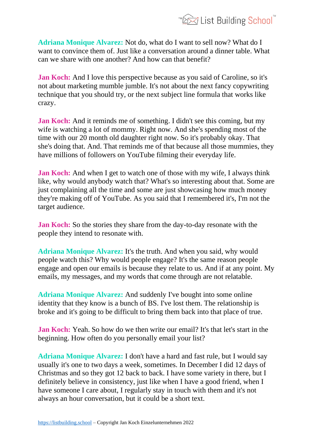

**Adriana Monique Alvarez:** Not do, what do I want to sell now? What do I want to convince them of. Just like a conversation around a dinner table. What can we share with one another? And how can that benefit?

**Jan Koch:** And I love this perspective because as you said of Caroline, so it's not about marketing mumble jumble. It's not about the next fancy copywriting technique that you should try, or the next subject line formula that works like crazy.

**Jan Koch:** And it reminds me of something. I didn't see this coming, but my wife is watching a lot of mommy. Right now. And she's spending most of the time with our 20 month old daughter right now. So it's probably okay. That she's doing that. And. That reminds me of that because all those mummies, they have millions of followers on YouTube filming their everyday life.

**Jan Koch:** And when I get to watch one of those with my wife, I always think like, why would anybody watch that? What's so interesting about that. Some are just complaining all the time and some are just showcasing how much money they're making off of YouTube. As you said that I remembered it's, I'm not the target audience.

**Jan Koch:** So the stories they share from the day-to-day resonate with the people they intend to resonate with.

**Adriana Monique Alvarez:** It's the truth. And when you said, why would people watch this? Why would people engage? It's the same reason people engage and open our emails is because they relate to us. And if at any point. My emails, my messages, and my words that come through are not relatable.

**Adriana Monique Alvarez:** And suddenly I've bought into some online identity that they know is a bunch of BS. I've lost them. The relationship is broke and it's going to be difficult to bring them back into that place of true.

**Jan Koch:** Yeah. So how do we then write our email? It's that let's start in the beginning. How often do you personally email your list?

**Adriana Monique Alvarez:** I don't have a hard and fast rule, but I would say usually it's one to two days a week, sometimes. In December I did 12 days of Christmas and so they got 12 back to back. I have some variety in there, but I definitely believe in consistency, just like when I have a good friend, when I have someone I care about, I regularly stay in touch with them and it's not always an hour conversation, but it could be a short text.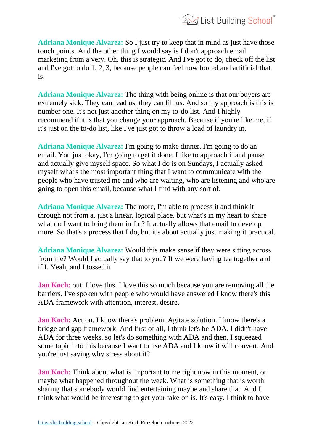

**Adriana Monique Alvarez:** So I just try to keep that in mind as just have those touch points. And the other thing I would say is I don't approach email marketing from a very. Oh, this is strategic. And I've got to do, check off the list and I've got to do 1, 2, 3, because people can feel how forced and artificial that is.

**Adriana Monique Alvarez:** The thing with being online is that our buyers are extremely sick. They can read us, they can fill us. And so my approach is this is number one. It's not just another thing on my to-do list. And I highly recommend if it is that you change your approach. Because if you're like me, if it's just on the to-do list, like I've just got to throw a load of laundry in.

**Adriana Monique Alvarez:** I'm going to make dinner. I'm going to do an email. You just okay, I'm going to get it done. I like to approach it and pause and actually give myself space. So what I do is on Sundays, I actually asked myself what's the most important thing that I want to communicate with the people who have trusted me and who are waiting, who are listening and who are going to open this email, because what I find with any sort of.

**Adriana Monique Alvarez:** The more, I'm able to process it and think it through not from a, just a linear, logical place, but what's in my heart to share what do I want to bring them in for? It actually allows that email to develop more. So that's a process that I do, but it's about actually just making it practical.

**Adriana Monique Alvarez:** Would this make sense if they were sitting across from me? Would I actually say that to you? If we were having tea together and if I. Yeah, and I tossed it

**Jan Koch:** out. I love this. I love this so much because you are removing all the barriers. I've spoken with people who would have answered I know there's this ADA framework with attention, interest, desire.

**Jan Koch:** Action. I know there's problem. Agitate solution. I know there's a bridge and gap framework. And first of all, I think let's be ADA. I didn't have ADA for three weeks, so let's do something with ADA and then. I squeezed some topic into this because I want to use ADA and I know it will convert. And you're just saying why stress about it?

**Jan Koch:** Think about what is important to me right now in this moment, or maybe what happened throughout the week. What is something that is worth sharing that somebody would find entertaining maybe and share that. And I think what would be interesting to get your take on is. It's easy. I think to have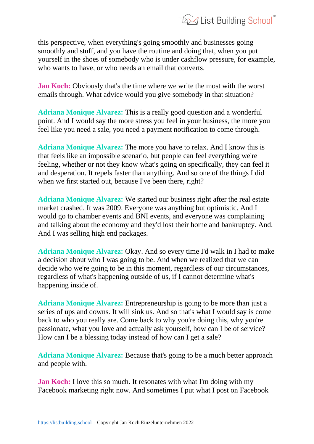

this perspective, when everything's going smoothly and businesses going smoothly and stuff, and you have the routine and doing that, when you put yourself in the shoes of somebody who is under cashflow pressure, for example, who wants to have, or who needs an email that converts.

**Jan Koch:** Obviously that's the time where we write the most with the worst emails through. What advice would you give somebody in that situation?

**Adriana Monique Alvarez:** This is a really good question and a wonderful point. And I would say the more stress you feel in your business, the more you feel like you need a sale, you need a payment notification to come through.

**Adriana Monique Alvarez:** The more you have to relax. And I know this is that feels like an impossible scenario, but people can feel everything we're feeling, whether or not they know what's going on specifically, they can feel it and desperation. It repels faster than anything. And so one of the things I did when we first started out, because I've been there, right?

**Adriana Monique Alvarez:** We started our business right after the real estate market crashed. It was 2009. Everyone was anything but optimistic. And I would go to chamber events and BNI events, and everyone was complaining and talking about the economy and they'd lost their home and bankruptcy. And. And I was selling high end packages.

**Adriana Monique Alvarez:** Okay. And so every time I'd walk in I had to make a decision about who I was going to be. And when we realized that we can decide who we're going to be in this moment, regardless of our circumstances, regardless of what's happening outside of us, if I cannot determine what's happening inside of.

**Adriana Monique Alvarez:** Entrepreneurship is going to be more than just a series of ups and downs. It will sink us. And so that's what I would say is come back to who you really are. Come back to why you're doing this, why you're passionate, what you love and actually ask yourself, how can I be of service? How can I be a blessing today instead of how can I get a sale?

**Adriana Monique Alvarez:** Because that's going to be a much better approach and people with.

**Jan Koch:** I love this so much. It resonates with what I'm doing with my Facebook marketing right now. And sometimes I put what I post on Facebook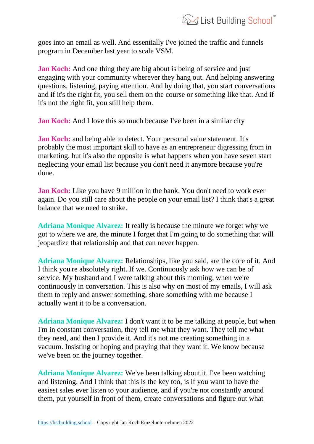

goes into an email as well. And essentially I've joined the traffic and funnels program in December last year to scale VSM.

**Jan Koch:** And one thing they are big about is being of service and just engaging with your community wherever they hang out. And helping answering questions, listening, paying attention. And by doing that, you start conversations and if it's the right fit, you sell them on the course or something like that. And if it's not the right fit, you still help them.

**Jan Koch:** And I love this so much because I've been in a similar city

**Jan Koch:** and being able to detect. Your personal value statement. It's probably the most important skill to have as an entrepreneur digressing from in marketing, but it's also the opposite is what happens when you have seven start neglecting your email list because you don't need it anymore because you're done.

**Jan Koch:** Like you have 9 million in the bank. You don't need to work ever again. Do you still care about the people on your email list? I think that's a great balance that we need to strike.

**Adriana Monique Alvarez:** It really is because the minute we forget why we got to where we are, the minute I forget that I'm going to do something that will jeopardize that relationship and that can never happen.

**Adriana Monique Alvarez:** Relationships, like you said, are the core of it. And I think you're absolutely right. If we. Continuously ask how we can be of service. My husband and I were talking about this morning, when we're continuously in conversation. This is also why on most of my emails, I will ask them to reply and answer something, share something with me because I actually want it to be a conversation.

**Adriana Monique Alvarez:** I don't want it to be me talking at people, but when I'm in constant conversation, they tell me what they want. They tell me what they need, and then I provide it. And it's not me creating something in a vacuum. Insisting or hoping and praying that they want it. We know because we've been on the journey together.

**Adriana Monique Alvarez:** We've been talking about it. I've been watching and listening. And I think that this is the key too, is if you want to have the easiest sales ever listen to your audience, and if you're not constantly around them, put yourself in front of them, create conversations and figure out what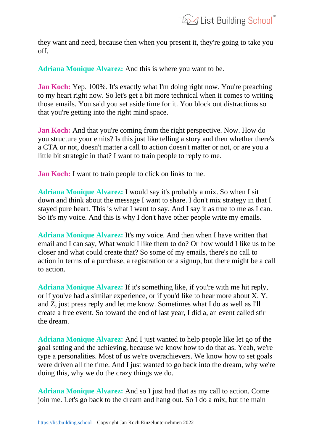

they want and need, because then when you present it, they're going to take you off.

**Adriana Monique Alvarez:** And this is where you want to be.

**Jan Koch:** Yep. 100%. It's exactly what I'm doing right now. You're preaching to my heart right now. So let's get a bit more technical when it comes to writing those emails. You said you set aside time for it. You block out distractions so that you're getting into the right mind space.

**Jan Koch:** And that you're coming from the right perspective. Now. How do you structure your emits? Is this just like telling a story and then whether there's a CTA or not, doesn't matter a call to action doesn't matter or not, or are you a little bit strategic in that? I want to train people to reply to me.

**Jan Koch:** I want to train people to click on links to me.

**Adriana Monique Alvarez:** I would say it's probably a mix. So when I sit down and think about the message I want to share. I don't mix strategy in that I stayed pure heart. This is what I want to say. And I say it as true to me as I can. So it's my voice. And this is why I don't have other people write my emails.

**Adriana Monique Alvarez:** It's my voice. And then when I have written that email and I can say, What would I like them to do? Or how would I like us to be closer and what could create that? So some of my emails, there's no call to action in terms of a purchase, a registration or a signup, but there might be a call to action.

**Adriana Monique Alvarez:** If it's something like, if you're with me hit reply, or if you've had a similar experience, or if you'd like to hear more about X, Y, and Z, just press reply and let me know. Sometimes what I do as well as I'll create a free event. So toward the end of last year, I did a, an event called stir the dream.

**Adriana Monique Alvarez:** And I just wanted to help people like let go of the goal setting and the achieving, because we know how to do that as. Yeah, we're type a personalities. Most of us we're overachievers. We know how to set goals were driven all the time. And I just wanted to go back into the dream, why we're doing this, why we do the crazy things we do.

**Adriana Monique Alvarez:** And so I just had that as my call to action. Come join me. Let's go back to the dream and hang out. So I do a mix, but the main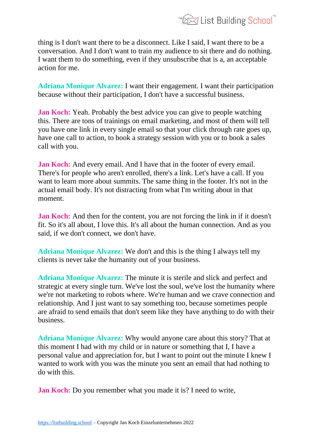

thing is I don't want there to be a disconnect. Like I said, I want there to be a conversation. And I don't want to train my audience to sit there and do nothing. I want them to do something, even if they unsubscribe that is a, an acceptable action for me.

**Adriana Monique Alvarez:** I want their engagement. I want their participation because without their participation, I don't have a successful business.

**Jan Koch:** Yeah. Probably the best advice you can give to people watching this. There are tons of trainings on email marketing, and most of them will tell you have one link in every single email so that your click through rate goes up, have one call to action, to book a strategy session with you or to book a sales call with you.

**Jan Koch:** And every email. And I have that in the footer of every email. There's for people who aren't enrolled, there's a link. Let's have a call. If you want to learn more about summits. The same thing in the footer. It's not in the actual email body. It's not distracting from what I'm writing about in that moment.

**Jan Koch:** And then for the content, you are not forcing the link in if it doesn't fit. So it's all about, I love this. It's all about the human connection. And as you said, if we don't connect, we don't have.

**Adriana Monique Alvarez:** We don't and this is the thing I always tell my clients is never take the humanity out of your business.

**Adriana Monique Alvarez:** The minute it is sterile and slick and perfect and strategic at every single turn. We've lost the soul, we've lost the humanity where we're not marketing to robots where. We're human and we crave connection and relationship. And I just want to say something too, because sometimes people are afraid to send emails that don't seem like they have anything to do with their business.

**Adriana Monique Alvarez:** Why would anyone care about this story? That at this moment I had with my child or in nature or something that I, I have a personal value and appreciation for, but I want to point out the minute I knew I wanted to work with you was the minute you sent an email that had nothing to do with this.

**Jan Koch:** Do you remember what you made it is? I need to write,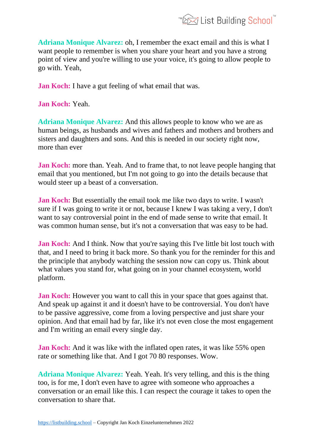

**Adriana Monique Alvarez:** oh, I remember the exact email and this is what I want people to remember is when you share your heart and you have a strong point of view and you're willing to use your voice, it's going to allow people to go with. Yeah,

**Jan Koch:** I have a gut feeling of what email that was.

**Jan Koch:** Yeah.

**Adriana Monique Alvarez:** And this allows people to know who we are as human beings, as husbands and wives and fathers and mothers and brothers and sisters and daughters and sons. And this is needed in our society right now, more than ever

**Jan Koch:** more than. Yeah. And to frame that, to not leave people hanging that email that you mentioned, but I'm not going to go into the details because that would steer up a beast of a conversation.

**Jan Koch:** But essentially the email took me like two days to write. I wasn't sure if I was going to write it or not, because I knew I was taking a very, I don't want to say controversial point in the end of made sense to write that email. It was common human sense, but it's not a conversation that was easy to be had.

**Jan Koch:** And I think. Now that you're saying this I've little bit lost touch with that, and I need to bring it back more. So thank you for the reminder for this and the principle that anybody watching the session now can copy us. Think about what values you stand for, what going on in your channel ecosystem, world platform.

**Jan Koch:** However you want to call this in your space that goes against that. And speak up against it and it doesn't have to be controversial. You don't have to be passive aggressive, come from a loving perspective and just share your opinion. And that email had by far, like it's not even close the most engagement and I'm writing an email every single day.

**Jan Koch:** And it was like with the inflated open rates, it was like 55% open rate or something like that. And I got 70 80 responses. Wow.

**Adriana Monique Alvarez:** Yeah. Yeah. It's very telling, and this is the thing too, is for me, I don't even have to agree with someone who approaches a conversation or an email like this. I can respect the courage it takes to open the conversation to share that.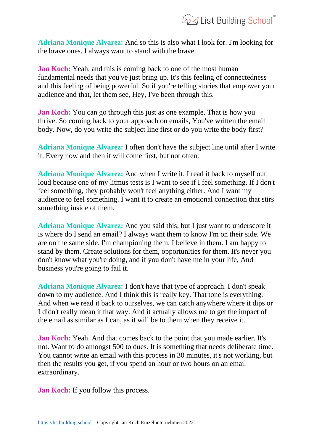

**Adriana Monique Alvarez:** And so this is also what I look for. I'm looking for the brave ones. I always want to stand with the brave.

**Jan Koch:** Yeah, and this is coming back to one of the most human fundamental needs that you've just bring up. It's this feeling of connectedness and this feeling of being powerful. So if you're telling stories that empower your audience and that, let them see, Hey, I've been through this.

**Jan Koch:** You can go through this just as one example. That is how you thrive. So coming back to your approach on emails, You've written the email body. Now, do you write the subject line first or do you write the body first?

**Adriana Monique Alvarez:** I often don't have the subject line until after I write it. Every now and then it will come first, but not often.

**Adriana Monique Alvarez:** And when I write it, I read it back to myself out loud because one of my litmus tests is I want to see if I feel something. If I don't feel something, they probably won't feel anything either. And I want my audience to feel something. I want it to create an emotional connection that stirs something inside of them.

**Adriana Monique Alvarez:** And you said this, but I just want to underscore it is where do I send an email? I always want them to know I'm on their side. We are on the same side. I'm championing them. I believe in them. I am happy to stand by them. Create solutions for them, opportunities for them. It's never you don't know what you're doing, and if you don't have me in your life, And business you're going to fail it.

**Adriana Monique Alvarez:** I don't have that type of approach. I don't speak down to my audience. And I think this is really key. That tone is everything. And when we read it back to ourselves, we can catch anywhere where it dips or I didn't really mean it that way. And it actually allows me to get the impact of the email as similar as I can, as it will be to them when they receive it.

**Jan Koch:** Yeah. And that comes back to the point that you made earlier. It's not. Want to do amongst 500 to dues. It is something that needs deliberate time. You cannot write an email with this process in 30 minutes, it's not working, but then the results you get, if you spend an hour or two hours on an email extraordinary.

**Jan Koch:** If you follow this process.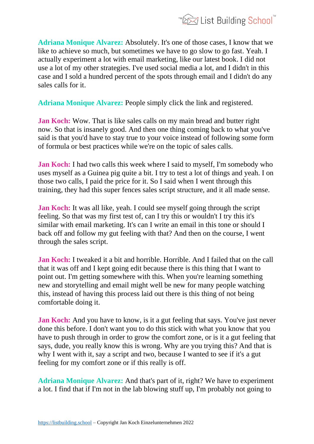

**Adriana Monique Alvarez:** Absolutely. It's one of those cases, I know that we like to achieve so much, but sometimes we have to go slow to go fast. Yeah. I actually experiment a lot with email marketing, like our latest book. I did not use a lot of my other strategies. I've used social media a lot, and I didn't in this case and I sold a hundred percent of the spots through email and I didn't do any sales calls for it.

**Adriana Monique Alvarez:** People simply click the link and registered.

**Jan Koch:** Wow. That is like sales calls on my main bread and butter right now. So that is insanely good. And then one thing coming back to what you've said is that you'd have to stay true to your voice instead of following some form of formula or best practices while we're on the topic of sales calls.

**Jan Koch:** I had two calls this week where I said to myself, I'm somebody who uses myself as a Guinea pig quite a bit. I try to test a lot of things and yeah. I on those two calls, I paid the price for it. So I said when I went through this training, they had this super fences sales script structure, and it all made sense.

**Jan Koch:** It was all like, yeah. I could see myself going through the script feeling. So that was my first test of, can I try this or wouldn't I try this it's similar with email marketing. It's can I write an email in this tone or should I back off and follow my gut feeling with that? And then on the course, I went through the sales script.

**Jan Koch:** I tweaked it a bit and horrible. Horrible. And I failed that on the call that it was off and I kept going edit because there is this thing that I want to point out. I'm getting somewhere with this. When you're learning something new and storytelling and email might well be new for many people watching this, instead of having this process laid out there is this thing of not being comfortable doing it.

**Jan Koch:** And you have to know, is it a gut feeling that says. You've just never done this before. I don't want you to do this stick with what you know that you have to push through in order to grow the comfort zone, or is it a gut feeling that says, dude, you really know this is wrong. Why are you trying this? And that is why I went with it, say a script and two, because I wanted to see if it's a gut feeling for my comfort zone or if this really is off.

**Adriana Monique Alvarez:** And that's part of it, right? We have to experiment a lot. I find that if I'm not in the lab blowing stuff up, I'm probably not going to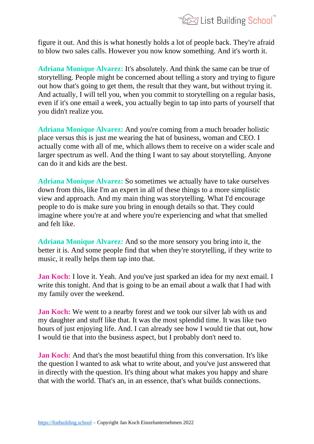

figure it out. And this is what honestly holds a lot of people back. They're afraid to blow two sales calls. However you now know something. And it's worth it.

**Adriana Monique Alvarez:** It's absolutely. And think the same can be true of storytelling. People might be concerned about telling a story and trying to figure out how that's going to get them, the result that they want, but without trying it. And actually, I will tell you, when you commit to storytelling on a regular basis, even if it's one email a week, you actually begin to tap into parts of yourself that you didn't realize you.

**Adriana Monique Alvarez:** And you're coming from a much broader holistic place versus this is just me wearing the hat of business, woman and CEO. I actually come with all of me, which allows them to receive on a wider scale and larger spectrum as well. And the thing I want to say about storytelling. Anyone can do it and kids are the best.

**Adriana Monique Alvarez:** So sometimes we actually have to take ourselves down from this, like I'm an expert in all of these things to a more simplistic view and approach. And my main thing was storytelling. What I'd encourage people to do is make sure you bring in enough details so that. They could imagine where you're at and where you're experiencing and what that smelled and felt like.

**Adriana Monique Alvarez:** And so the more sensory you bring into it, the better it is. And some people find that when they're storytelling, if they write to music, it really helps them tap into that.

**Jan Koch:** I love it. Yeah. And you've just sparked an idea for my next email. I write this tonight. And that is going to be an email about a walk that I had with my family over the weekend.

**Jan Koch:** We went to a nearby forest and we took our silver lab with us and my daughter and stuff like that. It was the most splendid time. It was like two hours of just enjoying life. And. I can already see how I would tie that out, how I would tie that into the business aspect, but I probably don't need to.

**Jan Koch:** And that's the most beautiful thing from this conversation. It's like the question I wanted to ask what to write about, and you've just answered that in directly with the question. It's thing about what makes you happy and share that with the world. That's an, in an essence, that's what builds connections.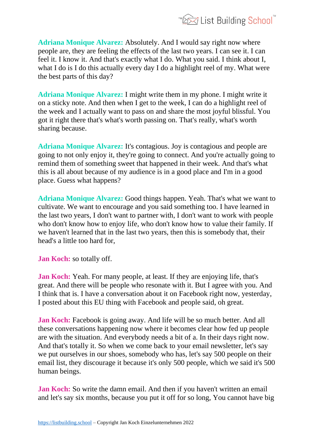

**Adriana Monique Alvarez:** Absolutely. And I would say right now where people are, they are feeling the effects of the last two years. I can see it. I can feel it. I know it. And that's exactly what I do. What you said. I think about I, what I do is I do this actually every day I do a highlight reel of my. What were the best parts of this day?

**Adriana Monique Alvarez:** I might write them in my phone. I might write it on a sticky note. And then when I get to the week, I can do a highlight reel of the week and I actually want to pass on and share the most joyful blissful. You got it right there that's what's worth passing on. That's really, what's worth sharing because.

**Adriana Monique Alvarez:** It's contagious. Joy is contagious and people are going to not only enjoy it, they're going to connect. And you're actually going to remind them of something sweet that happened in their week. And that's what this is all about because of my audience is in a good place and I'm in a good place. Guess what happens?

**Adriana Monique Alvarez:** Good things happen. Yeah. That's what we want to cultivate. We want to encourage and you said something too. I have learned in the last two years, I don't want to partner with, I don't want to work with people who don't know how to enjoy life, who don't know how to value their family. If we haven't learned that in the last two years, then this is somebody that, their head's a little too hard for,

**Jan Koch:** so totally off.

**Jan Koch:** Yeah. For many people, at least. If they are enjoying life, that's great. And there will be people who resonate with it. But I agree with you. And I think that is. I have a conversation about it on Facebook right now, yesterday, I posted about this EU thing with Facebook and people said, oh great.

**Jan Koch:** Facebook is going away. And life will be so much better. And all these conversations happening now where it becomes clear how fed up people are with the situation. And everybody needs a bit of a. In their days right now. And that's totally it. So when we come back to your email newsletter, let's say we put ourselves in our shoes, somebody who has, let's say 500 people on their email list, they discourage it because it's only 500 people, which we said it's 500 human beings.

**Jan Koch:** So write the damn email. And then if you haven't written an email and let's say six months, because you put it off for so long, You cannot have big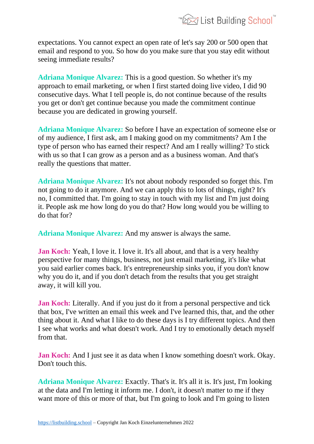

expectations. You cannot expect an open rate of let's say 200 or 500 open that email and respond to you. So how do you make sure that you stay edit without seeing immediate results?

**Adriana Monique Alvarez:** This is a good question. So whether it's my approach to email marketing, or when I first started doing live video, I did 90 consecutive days. What I tell people is, do not continue because of the results you get or don't get continue because you made the commitment continue because you are dedicated in growing yourself.

**Adriana Monique Alvarez:** So before I have an expectation of someone else or of my audience, I first ask, am I making good on my commitments? Am I the type of person who has earned their respect? And am I really willing? To stick with us so that I can grow as a person and as a business woman. And that's really the questions that matter.

**Adriana Monique Alvarez:** It's not about nobody responded so forget this. I'm not going to do it anymore. And we can apply this to lots of things, right? It's no, I committed that. I'm going to stay in touch with my list and I'm just doing it. People ask me how long do you do that? How long would you be willing to do that for?

**Adriana Monique Alvarez:** And my answer is always the same.

**Jan Koch:** Yeah, I love it. I love it. It's all about, and that is a very healthy perspective for many things, business, not just email marketing, it's like what you said earlier comes back. It's entrepreneurship sinks you, if you don't know why you do it, and if you don't detach from the results that you get straight away, it will kill you.

**Jan Koch:** Literally. And if you just do it from a personal perspective and tick that box, I've written an email this week and I've learned this, that, and the other thing about it. And what I like to do these days is I try different topics. And then I see what works and what doesn't work. And I try to emotionally detach myself from that.

**Jan Koch:** And I just see it as data when I know something doesn't work. Okay. Don't touch this.

**Adriana Monique Alvarez:** Exactly. That's it. It's all it is. It's just, I'm looking at the data and I'm letting it inform me. I don't, it doesn't matter to me if they want more of this or more of that, but I'm going to look and I'm going to listen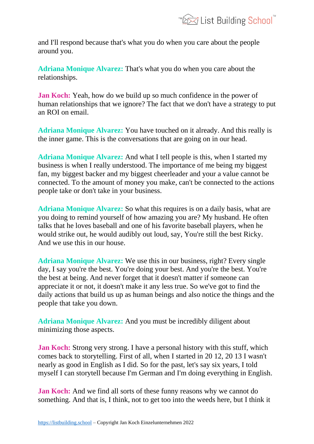and I'll respond because that's what you do when you care about the people around you.

**Adriana Monique Alvarez:** That's what you do when you care about the relationships.

**Jan Koch:** Yeah, how do we build up so much confidence in the power of human relationships that we ignore? The fact that we don't have a strategy to put an ROI on email.

**Adriana Monique Alvarez:** You have touched on it already. And this really is the inner game. This is the conversations that are going on in our head.

**Adriana Monique Alvarez:** And what I tell people is this, when I started my business is when I really understood. The importance of me being my biggest fan, my biggest backer and my biggest cheerleader and your a value cannot be connected. To the amount of money you make, can't be connected to the actions people take or don't take in your business.

**Adriana Monique Alvarez:** So what this requires is on a daily basis, what are you doing to remind yourself of how amazing you are? My husband. He often talks that he loves baseball and one of his favorite baseball players, when he would strike out, he would audibly out loud, say, You're still the best Ricky. And we use this in our house.

**Adriana Monique Alvarez:** We use this in our business, right? Every single day, I say you're the best. You're doing your best. And you're the best. You're the best at being. And never forget that it doesn't matter if someone can appreciate it or not, it doesn't make it any less true. So we've got to find the daily actions that build us up as human beings and also notice the things and the people that take you down.

**Adriana Monique Alvarez:** And you must be incredibly diligent about minimizing those aspects.

**Jan Koch:** Strong very strong. I have a personal history with this stuff, which comes back to storytelling. First of all, when I started in 20 12, 20 13 I wasn't nearly as good in English as I did. So for the past, let's say six years, I told myself I can storytell because I'm German and I'm doing everything in English.

**Jan Koch:** And we find all sorts of these funny reasons why we cannot do something. And that is, I think, not to get too into the weeds here, but I think it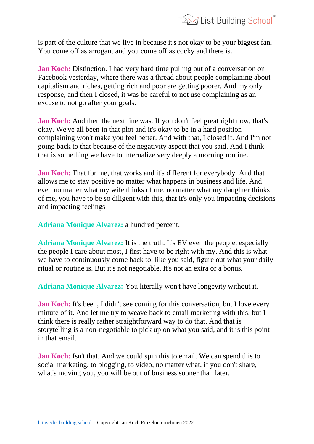

is part of the culture that we live in because it's not okay to be your biggest fan. You come off as arrogant and you come off as cocky and there is.

**Jan Koch:** Distinction. I had very hard time pulling out of a conversation on Facebook yesterday, where there was a thread about people complaining about capitalism and riches, getting rich and poor are getting poorer. And my only response, and then I closed, it was be careful to not use complaining as an excuse to not go after your goals.

**Jan Koch:** And then the next line was. If you don't feel great right now, that's okay. We've all been in that plot and it's okay to be in a hard position complaining won't make you feel better. And with that, I closed it. And I'm not going back to that because of the negativity aspect that you said. And I think that is something we have to internalize very deeply a morning routine.

**Jan Koch:** That for me, that works and it's different for everybody. And that allows me to stay positive no matter what happens in business and life. And even no matter what my wife thinks of me, no matter what my daughter thinks of me, you have to be so diligent with this, that it's only you impacting decisions and impacting feelings

**Adriana Monique Alvarez:** a hundred percent.

**Adriana Monique Alvarez:** It is the truth. It's EV even the people, especially the people I care about most, I first have to be right with my. And this is what we have to continuously come back to, like you said, figure out what your daily ritual or routine is. But it's not negotiable. It's not an extra or a bonus.

**Adriana Monique Alvarez:** You literally won't have longevity without it.

**Jan Koch:** It's been, I didn't see coming for this conversation, but I love every minute of it. And let me try to weave back to email marketing with this, but I think there is really rather straightforward way to do that. And that is storytelling is a non-negotiable to pick up on what you said, and it is this point in that email.

**Jan Koch:** Isn't that. And we could spin this to email. We can spend this to social marketing, to blogging, to video, no matter what, if you don't share, what's moving you, you will be out of business sooner than later.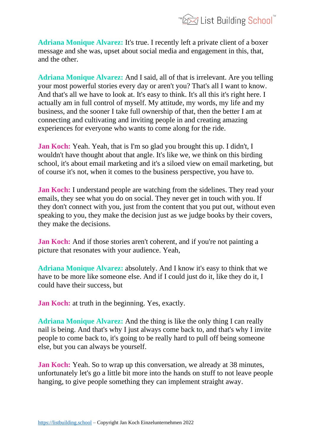**Adriana Monique Alvarez:** It's true. I recently left a private client of a boxer message and she was, upset about social media and engagement in this, that, and the other.

**Adriana Monique Alvarez:** And I said, all of that is irrelevant. Are you telling your most powerful stories every day or aren't you? That's all I want to know. And that's all we have to look at. It's easy to think. It's all this it's right here. I actually am in full control of myself. My attitude, my words, my life and my business, and the sooner I take full ownership of that, then the better I am at connecting and cultivating and inviting people in and creating amazing experiences for everyone who wants to come along for the ride.

**Jan Koch:** Yeah. Yeah, that is I'm so glad you brought this up. I didn't, I wouldn't have thought about that angle. It's like we, we think on this birding school, it's about email marketing and it's a siloed view on email marketing, but of course it's not, when it comes to the business perspective, you have to.

**Jan Koch:** I understand people are watching from the sidelines. They read your emails, they see what you do on social. They never get in touch with you. If they don't connect with you, just from the content that you put out, without even speaking to you, they make the decision just as we judge books by their covers, they make the decisions.

**Jan Koch:** And if those stories aren't coherent, and if you're not painting a picture that resonates with your audience. Yeah,

**Adriana Monique Alvarez:** absolutely. And I know it's easy to think that we have to be more like someone else. And if I could just do it, like they do it, I could have their success, but

**Jan Koch:** at truth in the beginning. Yes, exactly.

**Adriana Monique Alvarez:** And the thing is like the only thing I can really nail is being. And that's why I just always come back to, and that's why I invite people to come back to, it's going to be really hard to pull off being someone else, but you can always be yourself.

**Jan Koch:** Yeah. So to wrap up this conversation, we already at 38 minutes, unfortunately let's go a little bit more into the hands on stuff to not leave people hanging, to give people something they can implement straight away.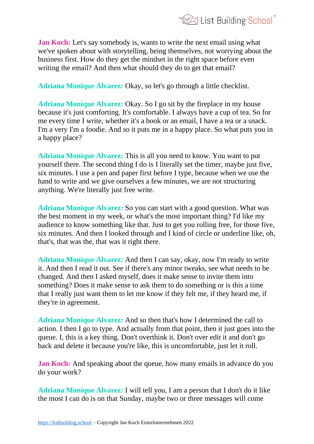

**Jan Koch:** Let's say somebody is, wants to write the next email using what we've spoken about with storytelling, being themselves, not worrying about the business first. How do they get the mindset in the right space before even writing the email? And then what should they do to get that email?

**Adriana Monique Alvarez:** Okay, so let's go through a little checklist.

**Adriana Monique Alvarez:** Okay. So I go sit by the fireplace in my house because it's just comforting. It's comfortable. I always have a cup of tea. So for me every time I write, whether it's a book or an email, I have a tea or a snack. I'm a very I'm a foodie. And so it puts me in a happy place. So what puts you in a happy place?

**Adriana Monique Alvarez:** This is all you need to know. You want to put yourself there. The second thing I do is I literally set the timer, maybe just five, six minutes. I use a pen and paper first before I type, because when we use the hand to write and we give ourselves a few minutes, we are not structuring anything. We're literally just free write.

**Adriana Monique Alvarez:** So you can start with a good question. What was the best moment in my week, or what's the most important thing? I'd like my audience to know something like that. Just to get you rolling free, for those five, six minutes. And then I looked through and I kind of circle or underline like, oh, that's, that was the, that was it right there.

**Adriana Monique Alvarez:** And then I can say, okay, now I'm ready to write it. And then I read it out. See if there's any minor tweaks, see what needs to be changed. And then I asked myself, does it make sense to invite them into something? Does it make sense to ask them to do something or is this a time that I really just want them to let me know if they felt me, if they heard me, if they're in agreement.

**Adriana Monique Alvarez:** And so then that's how I determined the call to action. I then I go to type. And actually from that point, then it just goes into the queue. I, this is a key thing. Don't overthink it. Don't over edit it and don't go back and delete it because you're like, this is uncomfortable, just let it roll.

**Jan Koch:** And speaking about the queue, how many emails in advance do you do your work?

**Adriana Monique Alvarez:** I will tell you, I am a person that I don't do it like the most I can do is on that Sunday, maybe two or three messages will come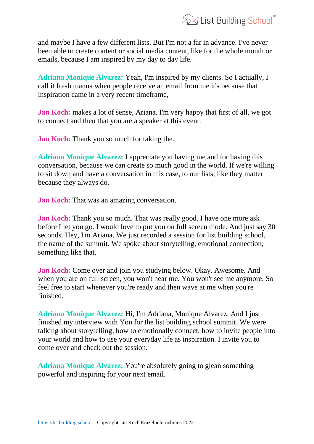

and maybe I have a few different lists. But I'm not a far in advance. I've never been able to create content or social media content, like for the whole month or emails, because I am inspired by my day to day life.

**Adriana Monique Alvarez:** Yeah, I'm inspired by my clients. So I actually, I call it fresh manna when people receive an email from me it's because that inspiration came in a very recent timeframe,

**Jan Koch:** makes a lot of sense, Ariana. I'm very happy that first of all, we got to connect and then that you are a speaker at this event.

**Jan Koch:** Thank you so much for taking the.

**Adriana Monique Alvarez:** I appreciate you having me and for having this conversation, because we can create so much good in the world. If we're willing to sit down and have a conversation in this case, to our lists, like they matter because they always do.

**Jan Koch:** That was an amazing conversation.

**Jan Koch:** Thank you so much. That was really good. I have one more ask before I let you go. I would love to put you on full screen mode. And just say 30 seconds. Hey, I'm Ariana. We just recorded a session for list building school, the name of the summit. We spoke about storytelling, emotional connection, something like that.

**Jan Koch:** Come over and join you studying below. Okay. Awesome. And when you are on full screen, you won't hear me. You won't see me anymore. So feel free to start whenever you're ready and then wave at me when you're finished.

**Adriana Monique Alvarez:** Hi, I'm Adriana, Monique Alvarez. And I just finished my interview with Yon for the list building school summit. We were talking about storytelling, how to emotionally connect, how to invite people into your world and how to use your everyday life as inspiration. I invite you to come over and check out the session.

**Adriana Monique Alvarez:** You're absolutely going to glean something powerful and inspiring for your next email.